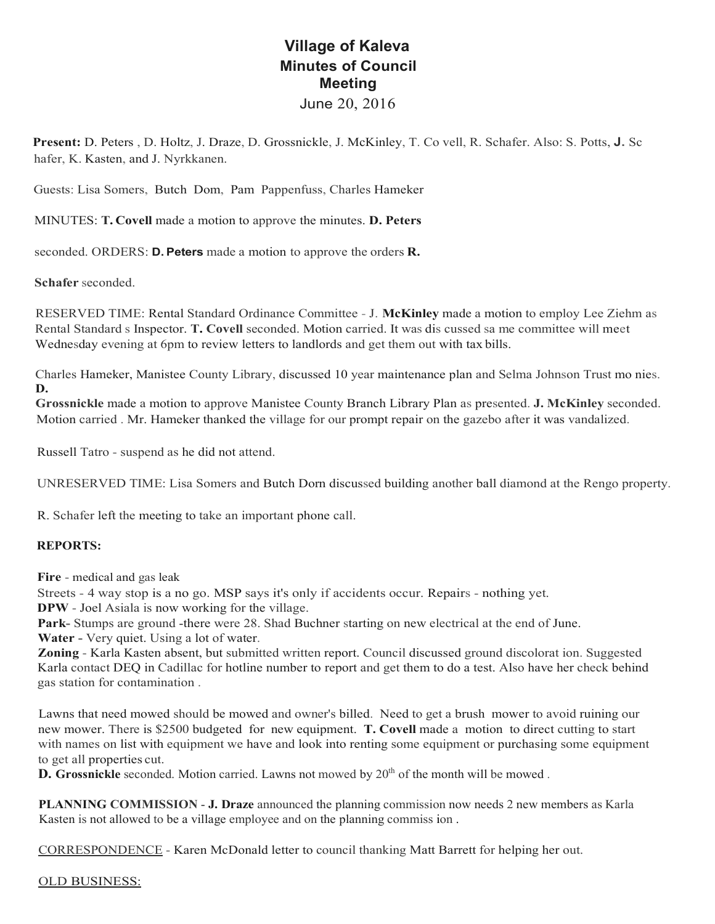## **Village of Kaleva Minutes of Council Meeting** June 20, 2016

**Present:** D. Peters , D. Holtz, J. Draze, D. Grossnickle, J. McKinley, T. Co vell, R. Schafer. Also: S. Potts, **J.** Sc hafer, K. Kasten, and J. Nyrkkanen.

Guests: Lisa Somers, Butch Dom, Pam Pappenfuss, Charles Hameker

MINUTES: **T. Covell** made a motion to approve the minutes. **D. Peters** 

seconded. ORDERS: **D. Peters** made a motion to approve the orders **R.**

**Schafer** seconded.

RESERVED TIME: Rental Standard Ordinance Committee - J. **McKinley** made a motion to employ Lee Ziehm as Rental Standard s Inspector. **T. Covell** seconded. Motion carried. It was dis cussed sa me committee will meet Wednesday evening at 6pm to review letters to landlords and get them out with tax bills.

Charles Hameker, Manistee County Library, discussed 10 year maintenance plan and Selma Johnson Trust mo nies. **D.**

**Grossnickle** made a motion to approve Manistee County Branch Library Plan as presented. **J. McKinley** seconded. Motion carried . Mr. Hameker thanked the village for our prompt repair on the gazebo after it was vandalized.

Russell Tatro - suspend as he did not attend.

UNRESERVED TIME: Lisa Somers and Butch Dorn discussed building another ball diamond at the Rengo property.

R. Schafer left the meeting to take an important phone call.

## **REPORTS:**

**Fire** - medical and gas leak

Streets - 4 way stop is a no go. MSP says it's only if accidents occur. Repairs - nothing yet. **DPW** - Joel Asiala is now working for the village.

**Park-** Stumps are ground -there were 28. Shad Buchner starting on new electrical at the end of June.

**Water -** Very quiet. Using a lot of water.

**Zoning** - Karla Kasten absent, but submitted written report. Council discussed ground discolorat ion. Suggested Karla contact DEQ in Cadillac for hotline number to report and get them to do a test. Also have her check behind gas station for contamination .

Lawns that need mowed should be mowed and owner's billed. Need to get a brush mower to avoid ruining our new mower. There is \$2500 budgeted for new equipment. **T. Covell** made a motion to direct cutting to start with names on list with equipment we have and look into renting some equipment or purchasing some equipment to get all properties cut.

**D. Grossnickle** seconded. Motion carried. Lawns not mowed by 20<sup>th</sup> of the month will be mowed.

**PLANNING COMMISSION** - **J. Draze** announced the planning commission now needs 2 new members as Karla Kasten is not allowed to be a village employee and on the planning commiss ion .

CORRESPONDENCE - Karen McDonald letter to council thanking Matt Barrett for helping her out.

OLD BUSINESS: